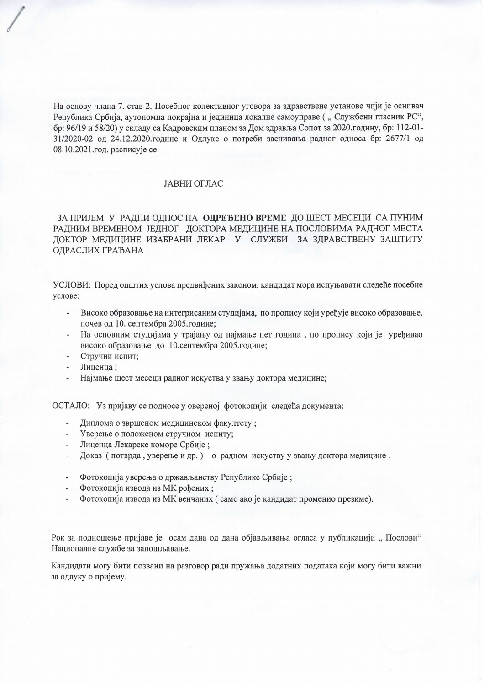На основу члана 7. став 2. Посебног колективног уговора за здравствене установе чији је оснивач Република Србија, аутономна покрајна и јединица локалне самоуправе ("Службени гласник РС", бр: 96/19 и 58/20) у складу са Кадровским планом за Дом здравља Сопот за 2020. годину, бр: 112-01-31/2020-02 од 24.12.2020.године и Одлуке о потреби заснивања радног односа бр: 2677/1 од 08.10.2021.год. расписује се

## ЈАВНИ ОГЛАС

## ЗА ПРИЈЕМ У РАДНИ ОДНОС НА ОДРЕЂЕНО ВРЕМЕ ДО ШЕСТ МЕСЕЦИ СА ПУНИМ РАДНИМ ВРЕМЕНОМ ЈЕДНОГ ДОКТОРА МЕДИЦИНЕ НА ПОСЛОВИМА РАДНОГ МЕСТА ДОКТОР МЕДИЦИНЕ ИЗАБРАНИ ЛЕКАР У СЛУЖБИ ЗА ЗДРАВСТВЕНУ ЗАШТИТУ ОДРАСЛИХ ГРАЂАНА

УСЛОВИ: Поред општих услова предвиђених законом, кандидат мора испуњавати следеће посебне услове:

- Високо образовање на интегрисаним студијама, по пропису који уређује високо образовање, почев од 10. септембра 2005. године;
- На основним студијама у трајању од најмање пет година, по пропису који је уређивао високо образовање до 10.септембра 2005.године;
- Стручни испит;
- Лиценца;
- Најмање шест месеци радног искуства у звању доктора медицине;

ОСТАЛО: Уз пријаву се подносе у овереној фотокопији следећа документа:

- Диплома о звршеном медицинском факултету;
- Уверење о положеном стручном испиту;
- Лиценца Лекарске коморе Србије;
- Доказ (потврда, уверење и др.) о радном искуству у звању доктора медицине.
- Фотокопија уверења о држављанству Републике Србије;
- Фотокопија извода из МК рођених ;
- Фотокопија извода из МК венчаних (само ако је кандидат променио презиме).

Рок за подношење пријаве је осам дана од дана објављивања огласа у публикацији "Послови" Националне службе за запошљавање.

Кандидати могу бити позвани на разговор ради пружања додатних података који могу бити важни за одлуку о пријему.